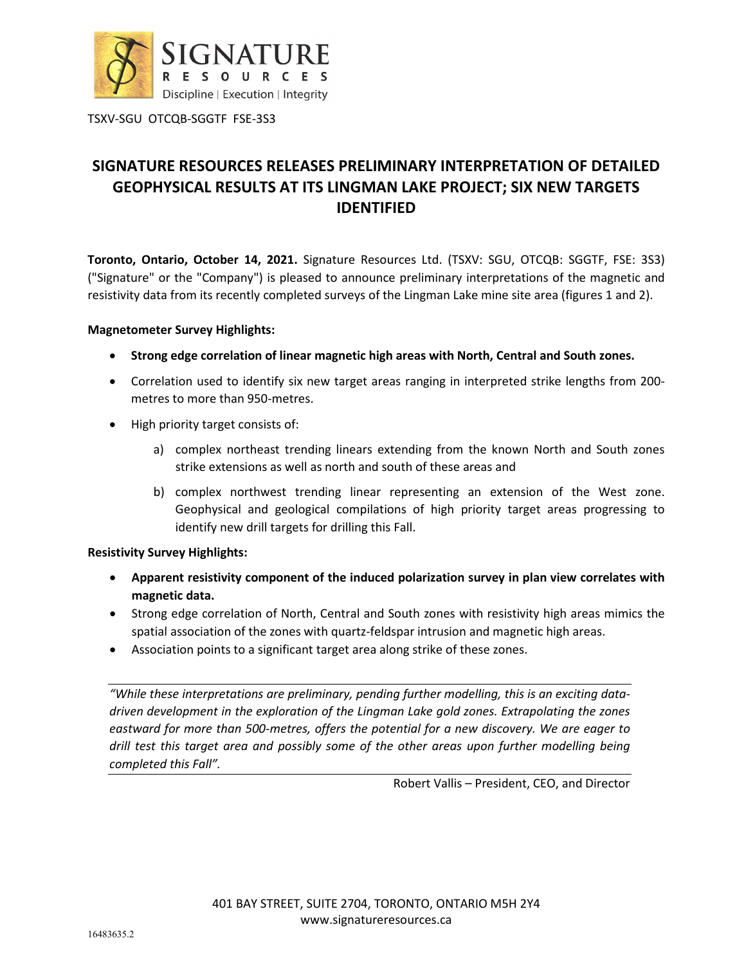

# **SIGNATURE RESOURCES RELEASES PRELIMINARY INTERPRETATION OF DETAILED GEOPHYSICAL RESULTS AT ITS LINGMAN LAKE PROJECT; SIX NEW TARGETS IDENTIFIED**

**Toronto, Ontario, October 14, 2021.** Signature Resources Ltd. (TSXV: SGU, OTCQB: SGGTF, FSE: 3S3) ("Signature" or the "Company") is pleased to announce preliminary interpretations of the magnetic and resistivity data from its recently completed surveys of the Lingman Lake mine site area (figures 1 and 2).

#### **Magnetometer Survey Highlights:**

- **Strong edge correlation of linear magnetic high areas with North, Central and South zones.**
- Correlation used to identify six new target areas ranging in interpreted strike lengths from 200 metres to more than 950-metres.
- High priority target consists of:
	- a) complex northeast trending linears extending from the known North and South zones strike extensions as well as north and south of these areas and
	- b) complex northwest trending linear representing an extension of the West zone. Geophysical and geological compilations of high priority target areas progressing to identify new drill targets for drilling this Fall.

### **Resistivity Survey Highlights:**

- **Apparent resistivity component of the induced polarization survey in plan view correlates with magnetic data.**
- Strong edge correlation of North, Central and South zones with resistivity high areas mimics the spatial association of the zones with quartz-feldspar intrusion and magnetic high areas.
- Association points to a significant target area along strike of these zones.

*"While these interpretations are preliminary, pending further modelling, this is an exciting datadriven development in the exploration of the Lingman Lake gold zones. Extrapolating the zones eastward for more than 500-metres, offers the potential for a new discovery. We are eager to drill test this target area and possibly some of the other areas upon further modelling being completed this Fall".* 

Robert Vallis – President, CEO, and Director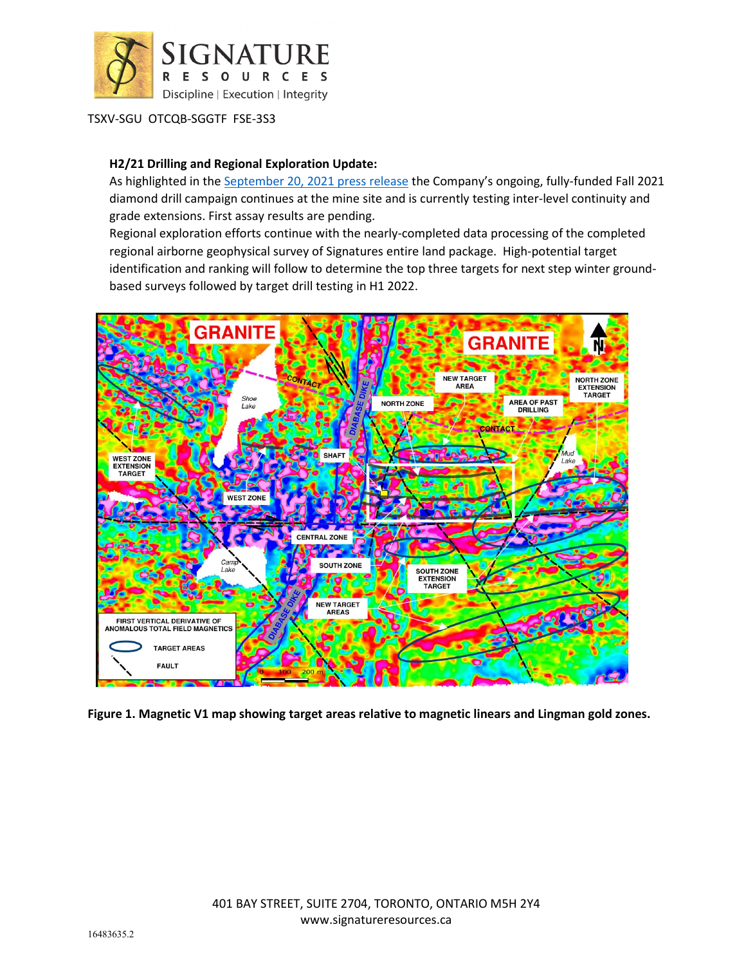

### **H2/21 Drilling and Regional Exploration Update:**

As highlighted in the [September 20, 2021 press release](https://www.signatureresources.ca/news/signature-resources-restarts-diamond-drilling-at-its-100-owned-lingman-lake-gold-project-and-expands-regional-exploration-activities) the Company's ongoing, fully-funded Fall 2021 diamond drill campaign continues at the mine site and is currently testing inter-level continuity and grade extensions. First assay results are pending.

Regional exploration efforts continue with the nearly-completed data processing of the completed regional airborne geophysical survey of Signatures entire land package. High-potential target identification and ranking will follow to determine the top three targets for next step winter groundbased surveys followed by target drill testing in H1 2022.



**Figure 1. Magnetic V1 map showing target areas relative to magnetic linears and Lingman gold zones.**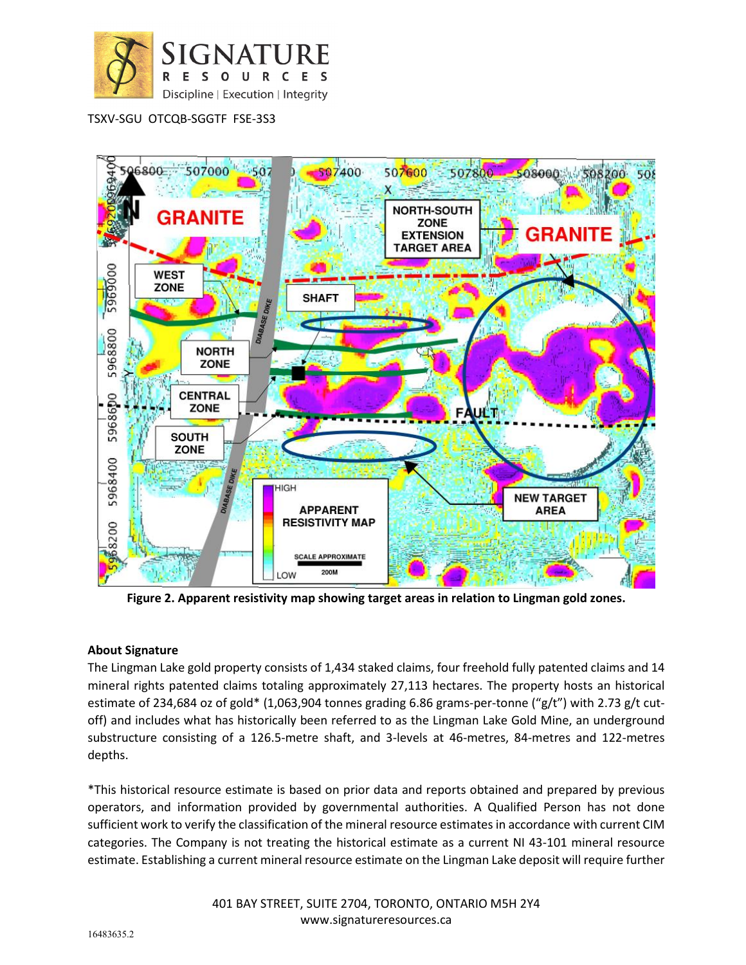



**Figure 2. Apparent resistivity map showing target areas in relation to Lingman gold zones.**

## **About Signature**

The Lingman Lake gold property consists of 1,434 staked claims, four freehold fully patented claims and 14 mineral rights patented claims totaling approximately 27,113 hectares. The property hosts an historical estimate of 234,684 oz of gold\* (1,063,904 tonnes grading 6.86 grams-per-tonne ("g/t") with 2.73 g/t cutoff) and includes what has historically been referred to as the Lingman Lake Gold Mine, an underground substructure consisting of a 126.5-metre shaft, and 3-levels at 46-metres, 84-metres and 122-metres depths.

\*This historical resource estimate is based on prior data and reports obtained and prepared by previous operators, and information provided by governmental authorities. A Qualified Person has not done sufficient work to verify the classification of the mineral resource estimates in accordance with current CIM categories. The Company is not treating the historical estimate as a current NI 43-101 mineral resource estimate. Establishing a current mineral resource estimate on the Lingman Lake deposit will require further